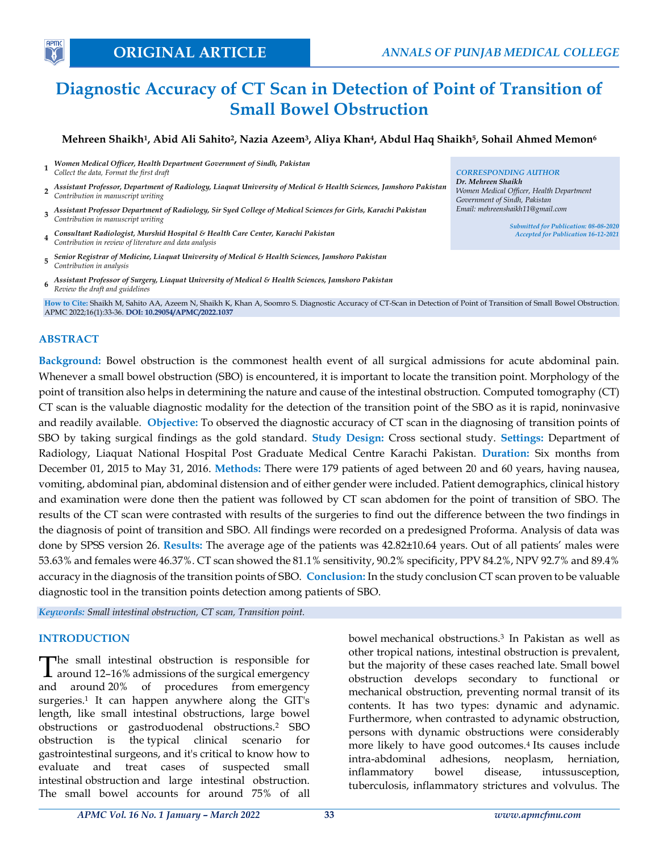*Dr. Mehreen Shaikh*

# **Diagnostic Accuracy of CT Scan in Detection of Point of Transition of Small Bowel Obstruction**

## **Mehreen Shaikh<sup>1</sup> , Abid Ali Sahito<sup>2</sup> , Nazia Azeem<sup>3</sup> , Aliya Khan<sup>4</sup> , Abdul Haq Shaikh<sup>5</sup> , Sohail Ahmed Memon<sup>6</sup>**

- **1** *Women Medical Officer, Health Department Government of Sindh, Pakistan Collect the data, Format the first draft CORRESPONDING AUTHOR*
- **2** *Assistant Professor, Department of Radiology, Liaquat University of Medical & Health Sciences, Jamshoro Pakistan Contribution in manuscript writing*
- **3** *Assistant Professor Department of Radiology, Sir Syed College of Medical Sciences for Girls, Karachi Pakistan Contribution in manuscript writing*
- **4** *Consultant Radiologist, Murshid Hospital & Health Care Center, Karachi Pakistan Contribution in review of literature and data analysis*
- **5** *Senior Registrar of Medicine, Liaquat University of Medical & Health Sciences, Jamshoro Pakistan Contribution in analysis*
- **6** *Assistant Professor of Surgery, Liaquat University of Medical & Health Sciences, Jamshoro Pakistan Review the draft and guidelines*

**How to Cite:** Shaikh M, Sahito AA, Azeem N, Shaikh K, Khan A, Soomro S. Diagnostic Accuracy of CT-Scan in Detection of Point of Transition of Small Bowel Obstruction. APMC 2022;16(1):33-36. **DOI: 10.29054/APMC/2022.1037**

#### **ABSTRACT**

**APM** 

**Background:** Bowel obstruction is the commonest health event of all surgical admissions for acute abdominal pain. Whenever a small bowel obstruction (SBO) is encountered, it is important to locate the transition point. Morphology of the point of transition also helps in determining the nature and cause of the intestinal obstruction. Computed tomography (CT) CT scan is the valuable diagnostic modality for the detection of the transition point of the SBO as it is rapid, noninvasive and readily available. **Objective:** To observed the diagnostic accuracy of CT scan in the diagnosing of transition points of SBO by taking surgical findings as the gold standard. **Study Design:** Cross sectional study. **Settings:** Department of Radiology, Liaquat National Hospital Post Graduate Medical Centre Karachi Pakistan. **Duration:** Six months from December 01, 2015 to May 31, 2016. **Methods:** There were 179 patients of aged between 20 and 60 years, having nausea, vomiting, abdominal pian, abdominal distension and of either gender were included. Patient demographics, clinical history and examination were done then the patient was followed by CT scan abdomen for the point of transition of SBO. The results of the CT scan were contrasted with results of the surgeries to find out the difference between the two findings in the diagnosis of point of transition and SBO. All findings were recorded on a predesigned Proforma. Analysis of data was done by SPSS version 26. **Results:** The average age of the patients was 42.82±10.64 years. Out of all patients' males were 53.63% and females were 46.37%. CT scan showed the 81.1% sensitivity, 90.2% specificity, PPV 84.2%, NPV 92.7% and 89.4% accuracy in the diagnosis of the transition points of SBO. **Conclusion:** In the study conclusion CT scan proven to be valuable diagnostic tool in the transition points detection among patients of SBO.

*Keywords: Small intestinal obstruction, CT scan, Transition point.*

## **INTRODUCTION**

he small intestinal obstruction is responsible for The small intestinal obstruction is responsible for<br>
around 12–16% admissions of the surgical emergency and around 20% of procedures from emergency surgeries.<sup>1</sup> It can happen anywhere along the GIT's length, like small intestinal obstructions, large bowel obstructions or gastroduodenal obstructions.<sup>2</sup> SBO obstruction is the typical clinical scenario gastrointestinal surgeons, and it's critical to know how to evaluate and treat cases of suspected small intestinal obstruction and large intestinal obstruction. The small bowel accounts for around 75% of all

bowel mechanical obstructions.<sup>3</sup> In Pakistan as well as other tropical nations, intestinal obstruction is prevalent, but the majority of these cases reached late. Small bowel obstruction develops secondary to functional or mechanical obstruction, preventing normal transit of its contents. It has two types: dynamic and adynamic. Furthermore, when contrasted to adynamic obstruction, persons with dynamic obstructions were considerably more likely to have good outcomes.<sup>4</sup> Its causes include intra-abdominal adhesions, neoplasm, herniation, inflammatory bowel disease, intussusception, tuberculosis, inflammatory strictures and volvulus. The

*Email: mehreenshaikh11@gmail.com Submitted for Publication: 08-08-2020 Accepted for Publication 16-12-2021*

*Women Medical Officer, Health Department Government of Sindh, Pakistan*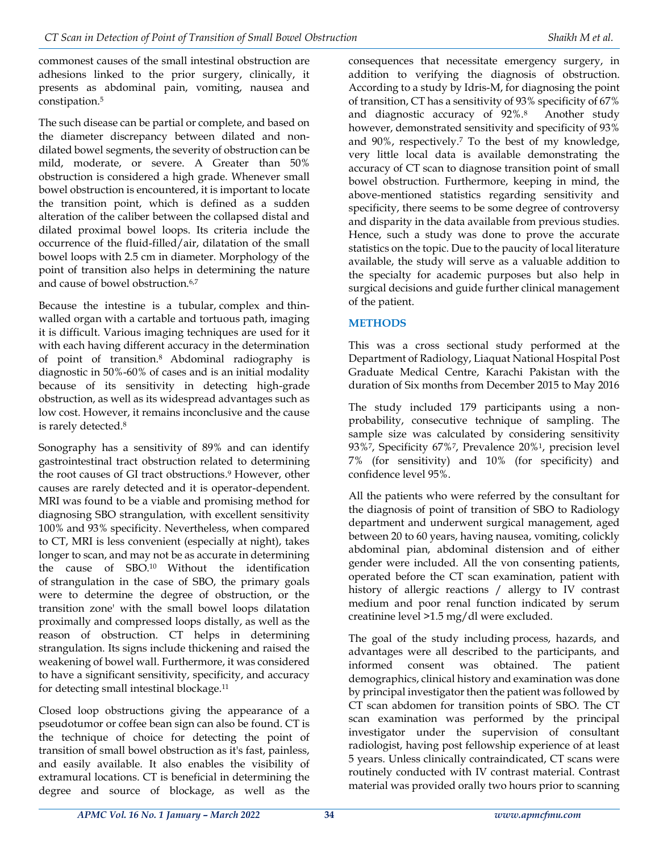commonest causes of the small intestinal obstruction are adhesions linked to the prior surgery, clinically, it presents as abdominal pain, vomiting, nausea and constipation.<sup>5</sup>

The such disease can be partial or complete, and based on the diameter discrepancy between dilated and nondilated bowel segments, the severity of obstruction can be mild, moderate, or severe. A Greater than 50% obstruction is considered a high grade. Whenever small bowel obstruction is encountered, it is important to locate the transition point, which is defined as a sudden alteration of the caliber between the collapsed distal and dilated proximal bowel loops. Its criteria include the occurrence of the fluid-filled/air, dilatation of the small bowel loops with 2.5 cm in diameter. Morphology of the point of transition also helps in determining the nature and cause of bowel obstruction.<sup>6,7</sup>

Because the intestine is a tubular, complex and thinwalled organ with a cartable and tortuous path, imaging it is difficult. Various imaging techniques are used for it with each having different accuracy in the determination of point of transition.<sup>8</sup> Abdominal radiography is diagnostic in 50%-60% of cases and is an initial modality because of its sensitivity in detecting high-grade obstruction, as well as its widespread advantages such as low cost. However, it remains inconclusive and the cause is rarely detected.<sup>8</sup>

Sonography has a sensitivity of 89% and can identify gastrointestinal tract obstruction related to determining the root causes of GI tract obstructions. <sup>9</sup> However, other causes are rarely detected and it is operator-dependent. MRI was found to be a viable and promising method for diagnosing SBO strangulation, with excellent sensitivity 100% and 93% specificity. Nevertheless, when compared to CT, MRI is less convenient (especially at night), takes longer to scan, and may not be as accurate in determining the cause of SBO. <sup>10</sup> Without the identification of strangulation in the case of SBO, the primary goals were to determine the degree of obstruction, or the transition zone' with the small bowel loops dilatation proximally and compressed loops distally, as well as the reason of obstruction. CT helps in determining strangulation. Its signs include thickening and raised the weakening of bowel wall. Furthermore, it was considered to have a significant sensitivity, specificity, and accuracy for detecting small intestinal blockage.<sup>11</sup>

Closed loop obstructions giving the appearance of a pseudotumor or coffee bean sign can also be found. CT is the technique of choice for detecting the point of transition of small bowel obstruction as it's fast, painless, and easily available. It also enables the visibility of extramural locations. CT is beneficial in determining the degree and source of blockage, as well as the

consequences that necessitate emergency surgery, in addition to verifying the diagnosis of obstruction. According to a study by Idris-M, for diagnosing the point of transition, CT has a sensitivity of 93% specificity of 67% and diagnostic accuracy of 92%.<sup>8</sup> Another study however, demonstrated sensitivity and specificity of 93% and 90%, respectively.<sup>7</sup> To the best of my knowledge, very little local data is available demonstrating the accuracy of CT scan to diagnose transition point of small bowel obstruction. Furthermore, keeping in mind, the above-mentioned statistics regarding sensitivity and specificity, there seems to be some degree of controversy and disparity in the data available from previous studies. Hence, such a study was done to prove the accurate statistics on the topic. Due to the paucity of local literature available, the study will serve as a valuable addition to the specialty for academic purposes but also help in surgical decisions and guide further clinical management of the patient.

## **METHODS**

This was a cross sectional study performed at the Department of Radiology, Liaquat National Hospital Post Graduate Medical Centre, Karachi Pakistan with the duration of Six months from December 2015 to May 2016

The study included 179 participants using a nonprobability, consecutive technique of sampling. The sample size was calculated by considering sensitivity 93%<sup>7</sup> , Specificity 67%<sup>7</sup> , Prevalence 20%<sup>1</sup> , precision level 7% (for sensitivity) and 10% (for specificity) and confidence level 95%.

All the patients who were referred by the consultant for the diagnosis of point of transition of SBO to Radiology department and underwent surgical management, aged between 20 to 60 years, having nausea, vomiting, colickly abdominal pian, abdominal distension and of either gender were included. All the von consenting patients, operated before the CT scan examination, patient with history of allergic reactions / allergy to IV contrast medium and poor renal function indicated by serum creatinine level >1.5 mg/dl were excluded.

The goal of the study including process, hazards, and advantages were all described to the participants, and informed consent was obtained. The patient demographics, clinical history and examination was done by principal investigator then the patient was followed by CT scan abdomen for transition points of SBO. The CT scan examination was performed by the principal investigator under the supervision of consultant radiologist, having post fellowship experience of at least 5 years. Unless clinically contraindicated, CT scans were routinely conducted with IV contrast material. Contrast material was provided orally two hours prior to scanning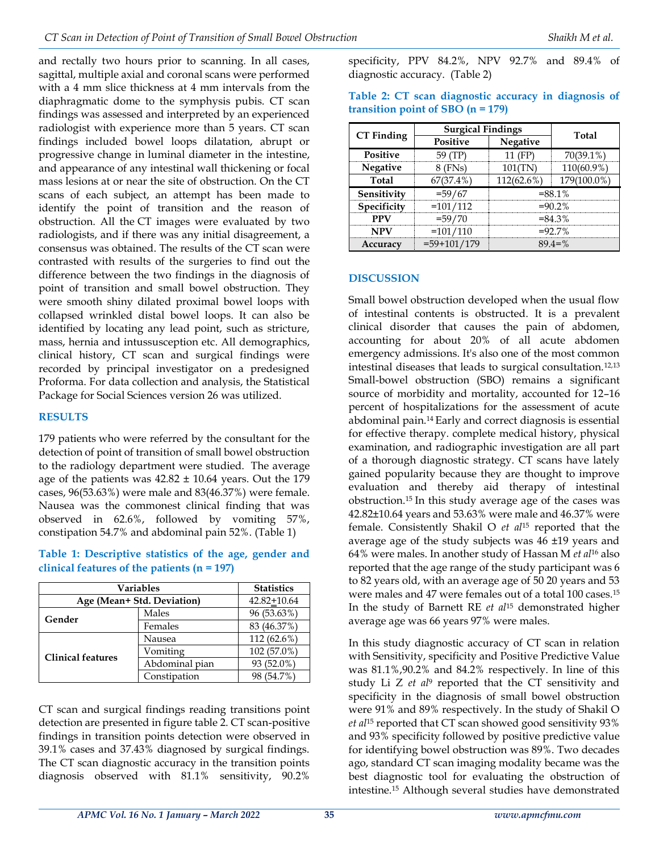and rectally two hours prior to scanning. In all cases, sagittal, multiple axial and coronal scans were performed with a 4 mm slice thickness at 4 mm intervals from the diaphragmatic dome to the symphysis pubis. CT scan findings was assessed and interpreted by an experienced radiologist with experience more than 5 years. CT scan findings included bowel loops dilatation, abrupt or progressive change in luminal diameter in the intestine, and appearance of any intestinal wall thickening or focal mass lesions at or near the site of obstruction. On the CT scans of each subject, an attempt has been made to identify the point of transition and the reason of obstruction. All the CT images were evaluated by two radiologists, and if there was any initial disagreement, a consensus was obtained. The results of the CT scan were contrasted with results of the surgeries to find out the difference between the two findings in the diagnosis of point of transition and small bowel obstruction. They were smooth shiny dilated proximal bowel loops with collapsed wrinkled distal bowel loops. It can also be identified by locating any lead point, such as stricture, mass, hernia and intussusception etc. All demographics, clinical history, CT scan and surgical findings were recorded by principal investigator on a predesigned Proforma. For data collection and analysis, the Statistical Package for Social Sciences version 26 was utilized.

## **RESULTS**

179 patients who were referred by the consultant for the detection of point of transition of small bowel obstruction to the radiology department were studied. The average age of the patients was  $42.82 \pm 10.64$  years. Out the 179 cases, 96(53.63%) were male and 83(46.37%) were female. Nausea was the commonest clinical finding that was observed in 62.6%, followed by vomiting 57%, constipation 54.7% and abdominal pain 52%. (Table 1)

| Variables<br>Age (Mean+ Std. Deviation) |                | <b>Statistics</b> |
|-----------------------------------------|----------------|-------------------|
|                                         |                | $42.82 \pm 10.64$ |
| Gender                                  | Males          | 96 (53.63%)       |
|                                         | Females        | 83 (46.37%)       |
| <b>Clinical features</b>                | Nausea         | 112 (62.6%)       |
|                                         | Vomiting       | 102 (57.0%)       |
|                                         | Abdominal pian | 93 (52.0%)        |
|                                         | Constipation   | 98 (54.7%)        |

**Table 1: Descriptive statistics of the age, gender and clinical features of the patients (n = 197)**

CT scan and surgical findings reading transitions point detection are presented in figure table 2. CT scan-positive findings in transition points detection were observed in 39.1% cases and 37.43% diagnosed by surgical findings. The CT scan diagnostic accuracy in the transition points diagnosis observed with 81.1% sensitivity, 90.2%

specificity, PPV 84.2%, NPV 92.7% and 89.4% of diagnostic accuracy. (Table 2)

| <b>CT</b> Finding | <b>Surgical Findings</b> |                 | Total      |
|-------------------|--------------------------|-----------------|------------|
|                   | <b>Positive</b>          | <b>Negative</b> |            |
| Positive          |                          | 11 (FP          | 70(39.1%)  |
| <b>Negative</b>   | FNs)                     |                 | 110(60.9%) |
| Total             | 67(37.4%)                | 112(62.6%)      |            |
| Sensitivity       | $=$ 59/67                | $= 88.1\%$      |            |
| Specificity       | $=101/112$               | $=90.2\%$       |            |
| PPV               | $=$ 59/70                | $= 84.3\%$      |            |
| NPV               | $=101/110$               | $=92.7\%$       |            |
| Accuracy          | $=$ 59 + 101 / 179       | 89.4=%          |            |

## **Table 2: CT scan diagnostic accuracy in diagnosis of transition point of SBO (n = 179)**

## **DISCUSSION**

Small bowel obstruction developed when the usual flow of intestinal contents is obstructed. It is a prevalent clinical disorder that causes the pain of abdomen, accounting for about 20% of all acute abdomen emergency admissions. It's also one of the most common intestinal diseases that leads to surgical consultation.12,13 Small-bowel obstruction (SBO) remains a significant source of morbidity and mortality, accounted for 12–16 percent of hospitalizations for the assessment of acute abdominal pain.<sup>14</sup> Early and correct diagnosis is essential for effective therapy. complete medical history, physical examination, and radiographic investigation are all part of a thorough diagnostic strategy. CT scans have lately gained popularity because they are thought to improve evaluation and thereby aid therapy of intestinal obstruction.<sup>15</sup> In this study average age of the cases was 42.82±10.64 years and 53.63% were male and 46.37% were female. Consistently Shakil O *et al*<sup>15</sup> reported that the average age of the study subjects was 46 ±19 years and 64% were males. In another study of Hassan M *et al*<sup>16</sup> also reported that the age range of the study participant was 6 to 82 years old, with an average age of 50 20 years and 53 were males and 47 were females out of a total 100 cases.<sup>15</sup> In the study of Barnett RE *et al*<sup>15</sup> demonstrated higher average age was 66 years 97% were males.

In this study diagnostic accuracy of CT scan in relation with Sensitivity, specificity and Positive Predictive Value was 81.1%,90.2% and 84.2% respectively. In line of this study Li Z *et al*<sup>9</sup> reported that the CT sensitivity and specificity in the diagnosis of small bowel obstruction were 91% and 89% respectively. In the study of Shakil O *et al*<sup>15</sup> reported that CT scan showed good sensitivity 93% and 93% specificity followed by positive predictive value for identifying bowel obstruction was 89%. Two decades ago, standard CT scan imaging modality became was the best diagnostic tool for evaluating the obstruction of intestine.<sup>15</sup> Although several studies have demonstrated